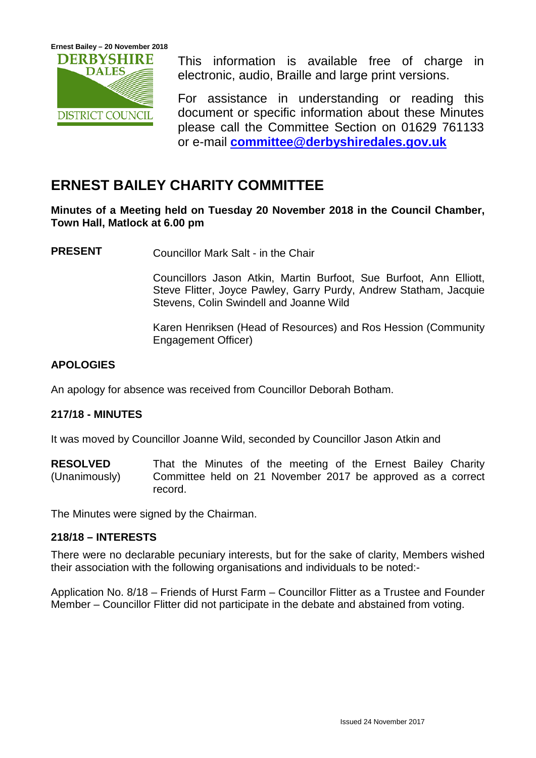

This information is available free of charge in electronic, audio, Braille and large print versions.

For assistance in understanding or reading this document or specific information about these Minutes please call the Committee Section on 01629 761133 or e-mail **[committee@derbyshiredales.gov.uk](mailto:committee@derbyshiredales.gov.uk)**

# **ERNEST BAILEY CHARITY COMMITTEE**

**Minutes of a Meeting held on Tuesday 20 November 2018 in the Council Chamber, Town Hall, Matlock at 6.00 pm**

**PRESENT** Councillor Mark Salt - in the Chair

Councillors Jason Atkin, Martin Burfoot, Sue Burfoot, Ann Elliott, Steve Flitter, Joyce Pawley, Garry Purdy, Andrew Statham, Jacquie Stevens, Colin Swindell and Joanne Wild

Karen Henriksen (Head of Resources) and Ros Hession (Community Engagement Officer)

## **APOLOGIES**

An apology for absence was received from Councillor Deborah Botham.

### **217/18 - MINUTES**

It was moved by Councillor Joanne Wild, seconded by Councillor Jason Atkin and

**RESOLVED** (Unanimously) That the Minutes of the meeting of the Ernest Bailey Charity Committee held on 21 November 2017 be approved as a correct record.

The Minutes were signed by the Chairman.

### **218/18 – INTERESTS**

There were no declarable pecuniary interests, but for the sake of clarity, Members wished their association with the following organisations and individuals to be noted:-

Application No. 8/18 – Friends of Hurst Farm – Councillor Flitter as a Trustee and Founder Member – Councillor Flitter did not participate in the debate and abstained from voting.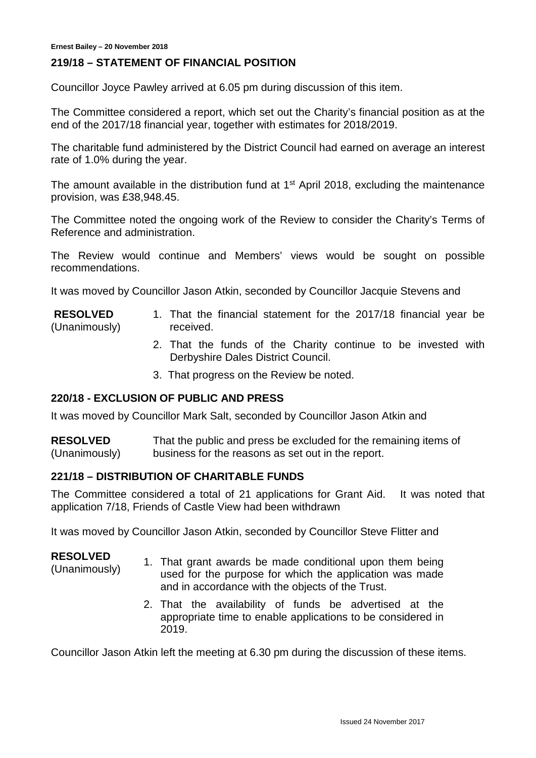#### **219/18 – STATEMENT OF FINANCIAL POSITION**

Councillor Joyce Pawley arrived at 6.05 pm during discussion of this item.

The Committee considered a report, which set out the Charity's financial position as at the end of the 2017/18 financial year, together with estimates for 2018/2019.

The charitable fund administered by the District Council had earned on average an interest rate of 1.0% during the year.

The amount available in the distribution fund at  $1<sup>st</sup>$  April 2018, excluding the maintenance provision, was £38,948.45.

The Committee noted the ongoing work of the Review to consider the Charity's Terms of Reference and administration.

The Review would continue and Members' views would be sought on possible recommendations.

It was moved by Councillor Jason Atkin, seconded by Councillor Jacquie Stevens and

- **RESOLVED** (Unanimously) 1. That the financial statement for the 2017/18 financial year be received.
	- 2. That the funds of the Charity continue to be invested with Derbyshire Dales District Council.
	- 3. That progress on the Review be noted.

#### **220/18 - EXCLUSION OF PUBLIC AND PRESS**

It was moved by Councillor Mark Salt, seconded by Councillor Jason Atkin and

**RESOLVED** (Unanimously) That the public and press be excluded for the remaining items of business for the reasons as set out in the report.

#### **221/18 – DISTRIBUTION OF CHARITABLE FUNDS**

The Committee considered a total of 21 applications for Grant Aid. It was noted that application 7/18, Friends of Castle View had been withdrawn

It was moved by Councillor Jason Atkin, seconded by Councillor Steve Flitter and

**RESOLVED**

- (Unanimously) 1. That grant awards be made conditional upon them being used for the purpose for which the application was made and in accordance with the objects of the Trust.
	- 2. That the availability of funds be advertised at the appropriate time to enable applications to be considered in 2019.

Councillor Jason Atkin left the meeting at 6.30 pm during the discussion of these items.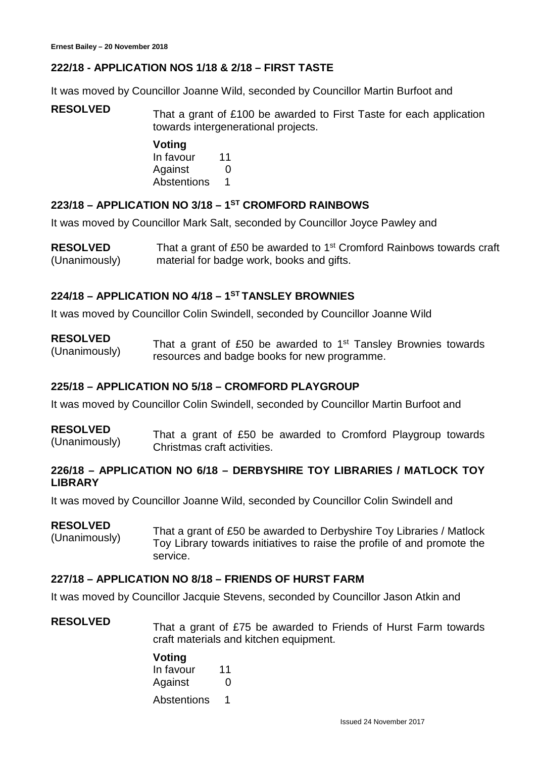## **222/18 - APPLICATION NOS 1/18 & 2/18 – FIRST TASTE**

It was moved by Councillor Joanne Wild, seconded by Councillor Martin Burfoot and

**RESOLVED** That a grant of £100 be awarded to First Taste for each application towards intergenerational projects.

> **Voting** In favour 11 Against 0 Abstentions 1

## **223/18 – APPLICATION NO 3/18 – 1ST CROMFORD RAINBOWS**

It was moved by Councillor Mark Salt, seconded by Councillor Joyce Pawley and

**RESOLVED** (Unanimously) That a grant of £50 be awarded to 1<sup>st</sup> Cromford Rainbows towards craft material for badge work, books and gifts.

## **224/18 – APPLICATION NO 4/18 – 1ST TANSLEY BROWNIES**

It was moved by Councillor Colin Swindell, seconded by Councillor Joanne Wild

**RESOLVED RESOLVED** That a grant of £50 be awarded to 1<sup>st</sup> Tansley Brownies towards (Unanimously) resources and badge books for new programme.

#### **225/18 – APPLICATION NO 5/18 – CROMFORD PLAYGROUP**

It was moved by Councillor Colin Swindell, seconded by Councillor Martin Burfoot and

#### **RESOLVED**

**RESOLVED**<br>(Unanimously) That a grant of £50 be awarded to Cromford Playgroup towards Christmas craft activities.

#### **226/18 – APPLICATION NO 6/18 – DERBYSHIRE TOY LIBRARIES / MATLOCK TOY LIBRARY**

It was moved by Councillor Joanne Wild, seconded by Councillor Colin Swindell and

#### **RESOLVED**

(Unanimously) That a grant of £50 be awarded to Derbyshire Toy Libraries / Matlock Toy Library towards initiatives to raise the profile of and promote the service.

#### **227/18 – APPLICATION NO 8/18 – FRIENDS OF HURST FARM**

It was moved by Councillor Jacquie Stevens, seconded by Councillor Jason Atkin and

**RESOLVED** That a grant of £75 be awarded to Friends of Hurst Farm towards craft materials and kitchen equipment.

#### **Voting**

In favour 11 Against 0 Abstentions 1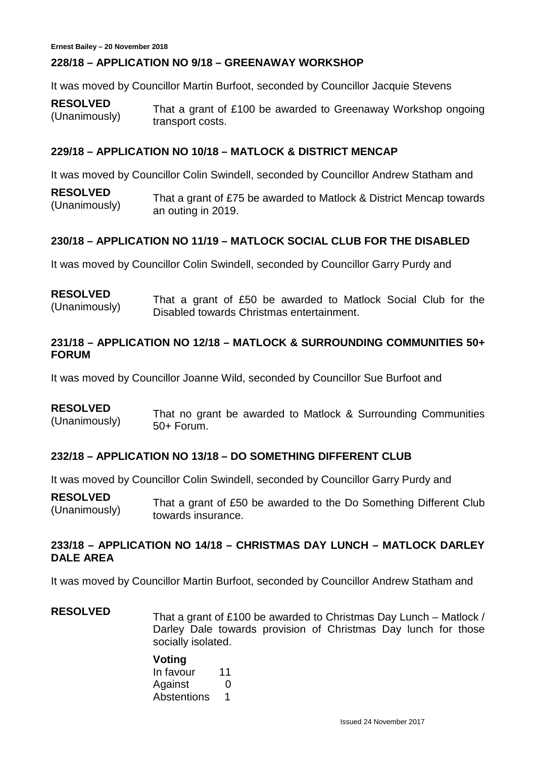### **228/18 – APPLICATION NO 9/18 – GREENAWAY WORKSHOP**

It was moved by Councillor Martin Burfoot, seconded by Councillor Jacquie Stevens

**RESOLVED** RESULVED<br>(Unanimously) That a grant of £100 be awarded to Greenaway Workshop ongoing transport costs.

#### **229/18 – APPLICATION NO 10/18 – MATLOCK & DISTRICT MENCAP**

It was moved by Councillor Colin Swindell, seconded by Councillor Andrew Statham and

**RESOLVED** RESULVED<br>(Unanimously) That a grant of £75 be awarded to Matlock & District Mencap towards an outing in 2019.

### **230/18 – APPLICATION NO 11/19 – MATLOCK SOCIAL CLUB FOR THE DISABLED**

It was moved by Councillor Colin Swindell, seconded by Councillor Garry Purdy and

#### **RESOLVED**

(Unanimously) That a grant of £50 be awarded to Matlock Social Club for the Disabled towards Christmas entertainment.

#### **231/18 – APPLICATION NO 12/18 – MATLOCK & SURROUNDING COMMUNITIES 50+ FORUM**

It was moved by Councillor Joanne Wild, seconded by Councillor Sue Burfoot and

#### **RESOLVED**

EXCULVED That no grant be awarded to Matlock & Surrounding Communities (Unanimously) 50+ Forum.

#### **232/18 – APPLICATION NO 13/18 – DO SOMETHING DIFFERENT CLUB**

It was moved by Councillor Colin Swindell, seconded by Councillor Garry Purdy and

**RESOLVED** (Unanimously) That a grant of £50 be awarded to the Do Something Different Club towards insurance.

#### **233/18 – APPLICATION NO 14/18 – CHRISTMAS DAY LUNCH – MATLOCK DARLEY DALE AREA**

It was moved by Councillor Martin Burfoot, seconded by Councillor Andrew Statham and

## **RESOLVED** That a grant of £100 be awarded to Christmas Day Lunch – Matlock / Darley Dale towards provision of Christmas Day lunch for those socially isolated.

### **Voting**

| In favour   | 11            |
|-------------|---------------|
| Against     | $\mathcal{O}$ |
| Abstentions | 1             |